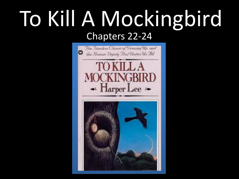## To Kill A Mockingbird Chapters 22-24

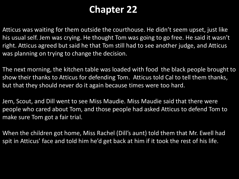## **Chapter 22**

Atticus was waiting for them outside the courthouse. He didn't seem upset, just like his usual self. Jem was crying. He thought Tom was going to go free. He said it wasn't right. Atticus agreed but said he that Tom still had to see another judge, and Atticus was planning on trying to change the decision.

The next morning, the kitchen table was loaded with food the black people brought to show their thanks to Atticus for defending Tom. Atticus told Cal to tell them thanks, but that they should never do it again because times were too hard.

Jem, Scout, and Dill went to see Miss Maudie. Miss Maudie said that there were people who cared about Tom, and those people had asked Atticus to defend Tom to make sure Tom got a fair trial.

When the children got home, Miss Rachel (Dill's aunt) told them that Mr. Ewell had spit in Atticus' face and told him he'd get back at him if it took the rest of his life.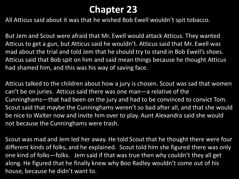## **Chapter 23**

All Atticus said about it was that he wished Bob Ewell wouldn't spit tobacco.

But Jem and Scout were afraid that Mr. Ewell would attack Atticus. They wanted Atticus to get a gun, but Atticus said he wouldn't. Atticus said that Mr. Ewell was mad about the trial and told Jem that he should try to stand in Bob Ewell's shoes. Atticus said that Bob spit on him and said mean things because he thought Atticus had shamed him, and this was his way of saving face.

Atticus talked to the children about how a jury is chosen. Scout was sad that women can't be on juries. Atticus said there was one man—a relative of the Cunninghams—that had been on the jury and had to be convinced to convict Tom. Scout said that maybe the Cunninghams weren't so bad after all, and that she would be nice to Walter now and invite him over to play. Aunt Alexandra said she would not because the Cunninghams were trash.

Scout was mad and Jem led her away. He told Scout that he thought there were four different kinds of folks, and he explained. Scout told him she figured there was only one kind of folks—folks. Jem said if that was true then why couldn't they all get along. He figured that he finally knew why Boo Radley wouldn't come out of his house, because he didn't want to.